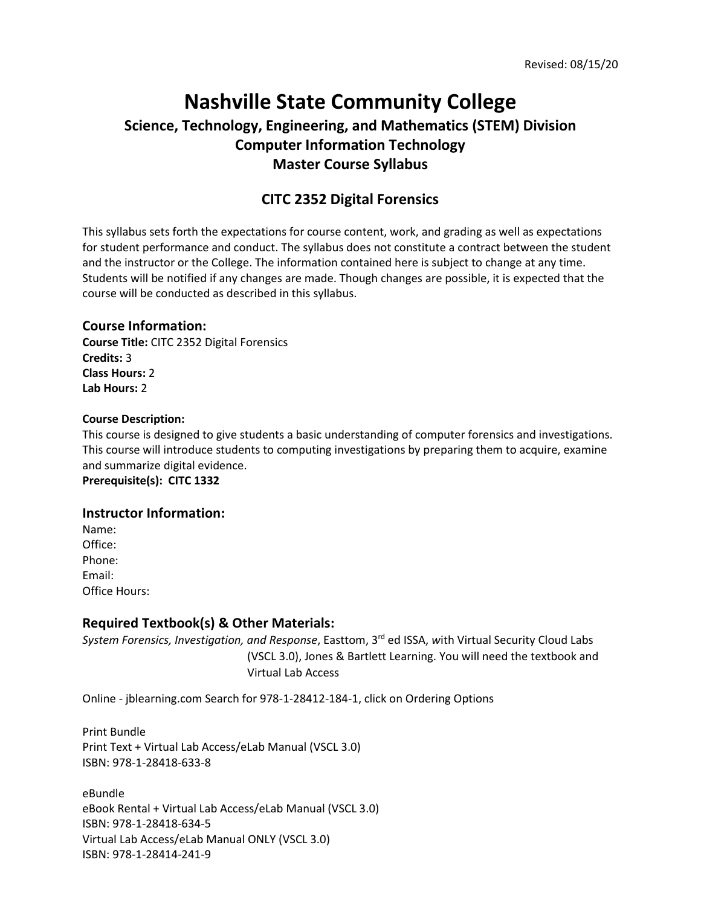# **Nashville State Community College Science, Technology, Engineering, and Mathematics (STEM) Division Computer Information Technology Master Course Syllabus**

# **CITC 2352 Digital Forensics**

This syllabus sets forth the expectations for course content, work, and grading as well as expectations for student performance and conduct. The syllabus does not constitute a contract between the student and the instructor or the College. The information contained here is subject to change at any time. Students will be notified if any changes are made. Though changes are possible, it is expected that the course will be conducted as described in this syllabus.

#### **Course Information:**

**Course Title:** CITC 2352 Digital Forensics **Credits:** 3 **Class Hours:** 2 **Lab Hours:** 2

#### **Course Description:**

This course is designed to give students a basic understanding of computer forensics and investigations. This course will introduce students to computing investigations by preparing them to acquire, examine and summarize digital evidence.

**Prerequisite(s): CITC 1332**

#### **Instructor Information:**

Name: Office: Phone: Email: Office Hours:

#### **Required Textbook(s) & Other Materials:**

*System Forensics, Investigation, and Response*, Easttom, 3rd ed ISSA, *w*ith Virtual Security Cloud Labs (VSCL 3.0), Jones & Bartlett Learning. You will need the textbook and Virtual Lab Access

Online - jblearning.com Search for 978-1-28412-184-1, click on Ordering Options

Print Bundle Print Text + Virtual Lab Access/eLab Manual (VSCL 3.0) ISBN: 978-1-28418-633-8

eBundle eBook Rental + Virtual Lab Access/eLab Manual (VSCL 3.0) ISBN: 978-1-28418-634-5 Virtual Lab Access/eLab Manual ONLY (VSCL 3.0) ISBN: 978-1-28414-241-9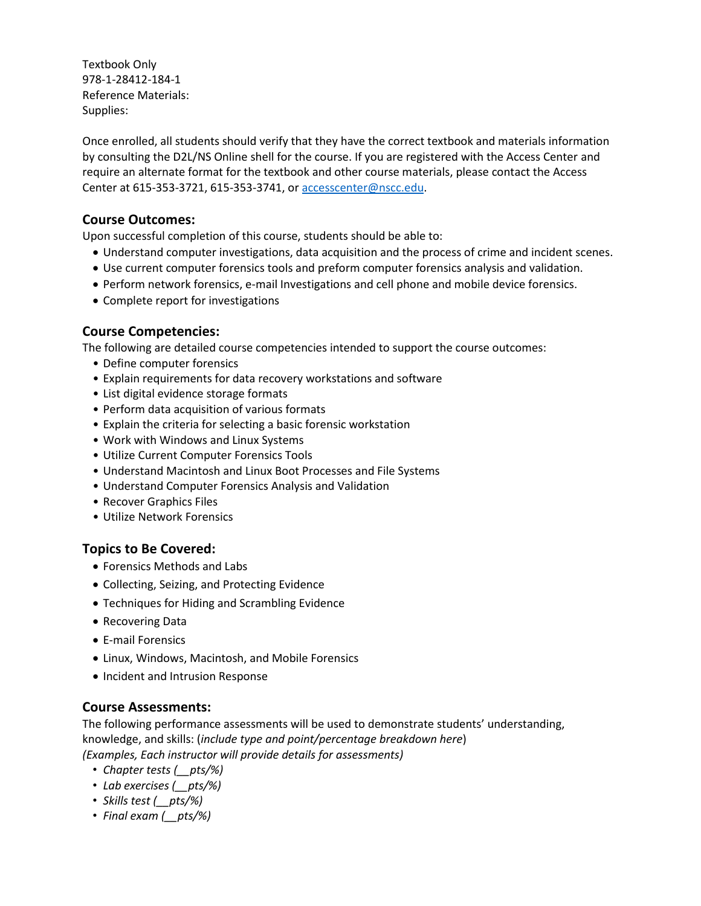Textbook Only 978-1-28412-184-1 Reference Materials: Supplies:

Once enrolled, all students should verify that they have the correct textbook and materials information by consulting the D2L/NS Online shell for the course. If you are registered with the Access Center and require an alternate format for the textbook and other course materials, please contact the Access Center at 615-353-3721, 615-353-3741, o[r accesscenter@nscc.edu.](mailto:accesscenter@nscc.edu)

## **Course Outcomes:**

Upon successful completion of this course, students should be able to:

- Understand computer investigations, data acquisition and the process of crime and incident scenes.
- Use current computer forensics tools and preform computer forensics analysis and validation.
- Perform network forensics, e-mail Investigations and cell phone and mobile device forensics.
- Complete report for investigations

## **Course Competencies:**

The following are detailed course competencies intended to support the course outcomes:

- Define computer forensics
- Explain requirements for data recovery workstations and software
- List digital evidence storage formats
- Perform data acquisition of various formats
- Explain the criteria for selecting a basic forensic workstation
- Work with Windows and Linux Systems
- Utilize Current Computer Forensics Tools
- Understand Macintosh and Linux Boot Processes and File Systems
- Understand Computer Forensics Analysis and Validation
- Recover Graphics Files
- Utilize Network Forensics

#### **Topics to Be Covered:**

- Forensics Methods and Labs
- Collecting, Seizing, and Protecting Evidence
- Techniques for Hiding and Scrambling Evidence
- Recovering Data
- E-mail Forensics
- Linux, Windows, Macintosh, and Mobile Forensics
- Incident and Intrusion Response

## **Course Assessments:**

The following performance assessments will be used to demonstrate students' understanding, knowledge, and skills: (*include type and point/percentage breakdown here*) *(Examples, Each instructor will provide details for assessments)*

- *Chapter tests (\_\_pts/%)*
- *Lab exercises (\_\_pts/%)*
- *Skills test (\_\_pts/%)*
- *Final exam (\_\_pts/%)*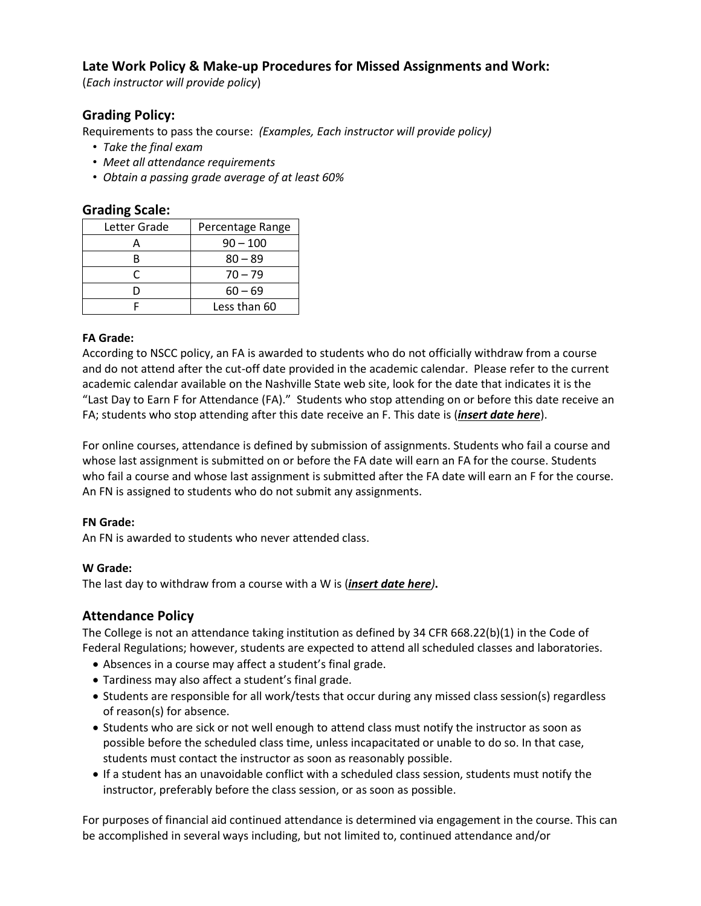# **Late Work Policy & Make-up Procedures for Missed Assignments and Work:**

(*Each instructor will provide policy*)

## **Grading Policy:**

Requirements to pass the course: *(Examples, Each instructor will provide policy)*

- *Take the final exam*
- *Meet all attendance requirements*
- *Obtain a passing grade average of at least 60%*

## **Grading Scale:**

| Letter Grade | Percentage Range |
|--------------|------------------|
|              | $90 - 100$       |
|              | $80 - 89$        |
|              | $70 - 79$        |
|              | $60 - 69$        |
|              | Less than 60     |

#### **FA Grade:**

According to NSCC policy, an FA is awarded to students who do not officially withdraw from a course and do not attend after the cut-off date provided in the academic calendar. Please refer to the current academic calendar available on the Nashville State web site, look for the date that indicates it is the "Last Day to Earn F for Attendance (FA)." Students who stop attending on or before this date receive an FA; students who stop attending after this date receive an F. This date is (*insert date here*).

For online courses, attendance is defined by submission of assignments. Students who fail a course and whose last assignment is submitted on or before the FA date will earn an FA for the course. Students who fail a course and whose last assignment is submitted after the FA date will earn an F for the course. An FN is assigned to students who do not submit any assignments.

#### **FN Grade:**

An FN is awarded to students who never attended class.

#### **W Grade:**

The last day to withdraw from a course with a W is (*insert date here)***.**

#### **Attendance Policy**

The College is not an attendance taking institution as defined by 34 CFR 668.22(b)(1) in the Code of Federal Regulations; however, students are expected to attend all scheduled classes and laboratories.

- Absences in a course may affect a student's final grade.
- Tardiness may also affect a student's final grade.
- Students are responsible for all work/tests that occur during any missed class session(s) regardless of reason(s) for absence.
- Students who are sick or not well enough to attend class must notify the instructor as soon as possible before the scheduled class time, unless incapacitated or unable to do so. In that case, students must contact the instructor as soon as reasonably possible.
- If a student has an unavoidable conflict with a scheduled class session, students must notify the instructor, preferably before the class session, or as soon as possible.

For purposes of financial aid continued attendance is determined via engagement in the course. This can be accomplished in several ways including, but not limited to, continued attendance and/or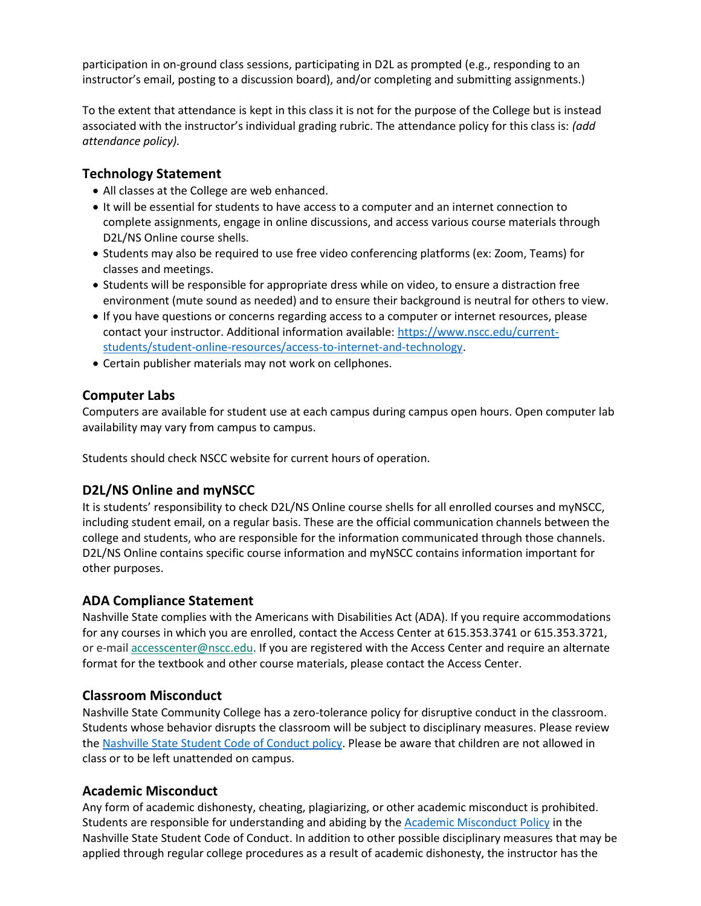participation in on-ground class sessions, participating in D2L as prompted (e.g., responding to an instructor's email, posting to a discussion board), and/or completing and submitting assignments.)

To the extent that attendance is kept in this class it is not for the purpose of the College but is instead associated with the instructor's individual grading rubric. The attendance policy for this class is: *(add attendance policy).*

## **Technology Statement**

- All classes at the College are web enhanced.
- It will be essential for students to have access to a computer and an internet connection to complete assignments, engage in online discussions, and access various course materials through D2L/NS Online course shells.
- Students may also be required to use free video conferencing platforms (ex: Zoom, Teams) for classes and meetings.
- Students will be responsible for appropriate dress while on video, to ensure a distraction free environment (mute sound as needed) and to ensure their background is neutral for others to view.
- If you have questions or concerns regarding access to a computer or internet resources, please contact your instructor. Additional information available: [https://www.nscc.edu/current](https://www.nscc.edu/current-students/student-online-resources/access-to-internet-and-technology)[students/student-online-resources/access-to-internet-and-technology.](https://www.nscc.edu/current-students/student-online-resources/access-to-internet-and-technology)
- Certain publisher materials may not work on cellphones.

## **Computer Labs**

Computers are available for student use at each campus during campus open hours. Open computer lab availability may vary from campus to campus.

Students should check NSCC website for current hours of operation.

# **D2L/NS Online and myNSCC**

It is students' responsibility to check D2L/NS Online course shells for all enrolled courses and myNSCC, including student email, on a regular basis. These are the official communication channels between the college and students, who are responsible for the information communicated through those channels. D2L/NS Online contains specific course information and myNSCC contains information important for other purposes.

#### **ADA Compliance Statement**

Nashville State complies with the Americans with Disabilities Act (ADA). If you require accommodations for any courses in which you are enrolled, contact the Access Center at 615.353.3741 or 615.353.3721, or e-mail [accesscenter@nscc.edu.](mailto:%3Caccesscenter@nscc.edu%3E) If you are registered with the Access Center and require an alternate format for the textbook and other course materials, please contact the Access Center.

#### **Classroom Misconduct**

Nashville State Community College has a zero-tolerance policy for disruptive conduct in the classroom. Students whose behavior disrupts the classroom will be subject to disciplinary measures. Please review th[e Nashville State Student Code](https://s3.amazonaws.com/nscc.edu/PDFs/dean-students/Student_Code_of_Conduct_Policy.pdf) of Conduct policy. Please be aware that children are not allowed in class or to be left unattended on campus.

# **Academic Misconduct**

Any form of academic dishonesty, cheating, plagiarizing, or other academic misconduct is prohibited. Students are responsible for understanding and abiding by the **Academic Misconduct Policy** in the Nashville State Student Code of Conduct. In addition to other possible disciplinary measures that may be applied through regular college procedures as a result of academic dishonesty, the instructor has the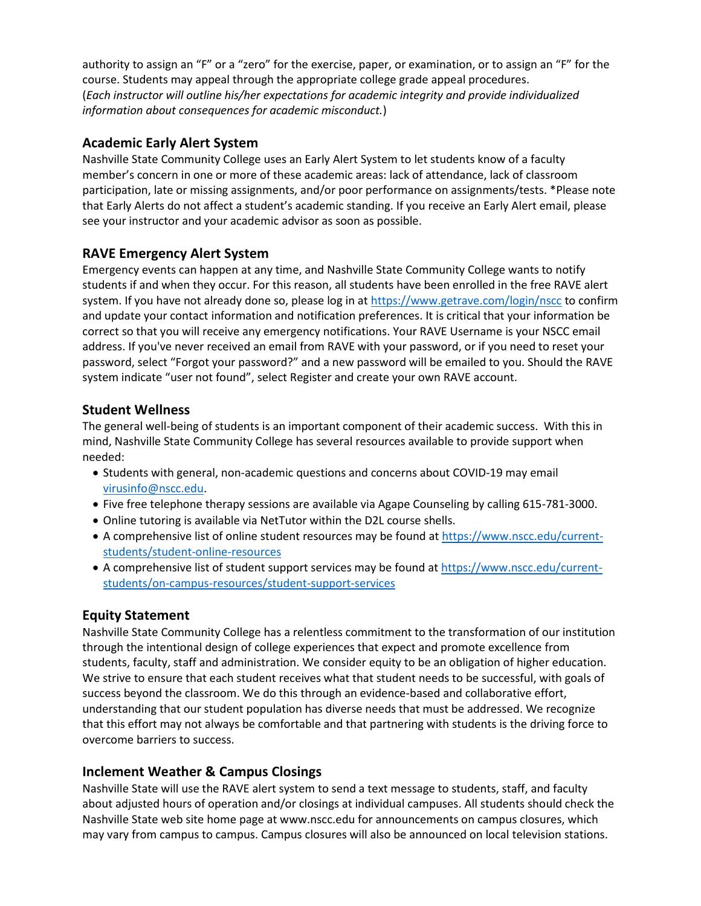authority to assign an "F" or a "zero" for the exercise, paper, or examination, or to assign an "F" for the course. Students may appeal through the appropriate college grade appeal procedures. (*Each instructor will outline his/her expectations for academic integrity and provide individualized information about consequences for academic misconduct.*)

# **Academic Early Alert System**

Nashville State Community College uses an Early Alert System to let students know of a faculty member's concern in one or more of these academic areas: lack of attendance, lack of classroom participation, late or missing assignments, and/or poor performance on assignments/tests. \*Please note that Early Alerts do not affect a student's academic standing. If you receive an Early Alert email, please see your instructor and your academic advisor as soon as possible.

# **RAVE Emergency Alert System**

Emergency events can happen at any time, and Nashville State Community College wants to notify students if and when they occur. For this reason, all students have been enrolled in the free RAVE alert system. If you have not already done so, please log in at<https://www.getrave.com/login/nscc> to confirm and update your contact information and notification preferences. It is critical that your information be correct so that you will receive any emergency notifications. Your RAVE Username is your NSCC email address. If you've never received an email from RAVE with your password, or if you need to reset your password, select "Forgot your password?" and a new password will be emailed to you. Should the RAVE system indicate "user not found", select Register and create your own RAVE account.

# **Student Wellness**

The general well-being of students is an important component of their academic success. With this in mind, Nashville State Community College has several resources available to provide support when needed:

- Students with general, non-academic questions and concerns about COVID-19 may email [virusinfo@nscc.edu.](mailto:virusinfo@nscc.edu)
- Five free telephone therapy sessions are available via Agape Counseling by calling 615-781-3000.
- Online tutoring is available via NetTutor within the D2L course shells.
- A comprehensive list of online student resources may be found at [https://www.nscc.edu/current](https://www.nscc.edu/current-students/student-online-resources)[students/student-online-resources](https://www.nscc.edu/current-students/student-online-resources)
- A comprehensive list of student support services may be found at [https://www.nscc.edu/current](https://www.nscc.edu/current-students/on-campus-resources/student-support-services)[students/on-campus-resources/student-support-services](https://www.nscc.edu/current-students/on-campus-resources/student-support-services)

# **Equity Statement**

Nashville State Community College has a relentless commitment to the transformation of our institution through the intentional design of college experiences that expect and promote excellence from students, faculty, staff and administration. We consider equity to be an obligation of higher education. We strive to ensure that each student receives what that student needs to be successful, with goals of success beyond the classroom. We do this through an evidence-based and collaborative effort, understanding that our student population has diverse needs that must be addressed. We recognize that this effort may not always be comfortable and that partnering with students is the driving force to overcome barriers to success.

# **Inclement Weather & Campus Closings**

Nashville State will use the RAVE alert system to send a text message to students, staff, and faculty about adjusted hours of operation and/or closings at individual campuses. All students should check the Nashville State web site home page at www.nscc.edu for announcements on campus closures, which may vary from campus to campus. Campus closures will also be announced on local television stations.